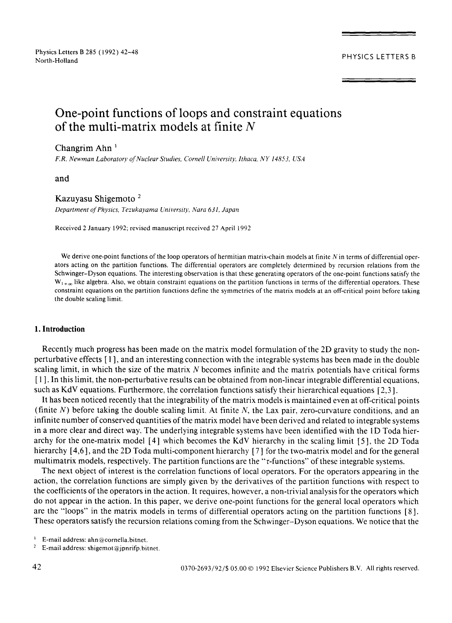PHYSICS LETTERS B

# **One-point functions of loops and constraint equations of the multi-matrix models at finite N**

### Changrim Ahn

*F.R. Newman Laboratory of Nuclear Studies, Cornell University, Ithaca, NY 14853, USA* 

and

### Kazuyasu Shigemoto 2

*Department of Physics, Tezukayama University, Nara 631, Japan* 

Received 2 January 1992; revised manuscript received 27 April 1992

We derive one-point functions of the loop operators of hermitian matrix-chain models at finite  $N$  in terms of differential operators acting on the partition functions. The differential operators are completely determined by recursion relations from the Schwinger-Dyson equations. The interesting observation is that these generating operators of the one-point functions satisfy the  $W_{1+\infty}$  like algebra. Also, we obtain constraint equations on the partition functions in terms of the differential operators. These constraint equations on the partition functions define the symmetries of the matrix models at an off-critical point before taking the double scaling limit.

### **1. Introduction**

Recently much progress has been made on the matrix model formulation of the 2D gravity to study the nonperturbative effects [ 1 ], and an interesting connection with the integrable systems has been made in the double scaling limit, in which the size of the matrix N becomes infinite and the matrix potentials have critical forms [ 1 ]. In this limit, the non-perturbative results can be obtained from non-linear integrable differential equations, such as KdV equations. Furthermore, the correlation functions satisfy their hierarchical equations [ 2,3 ].

It has been noticed recently that the integrability of the matrix models is maintained even at off-critical points (finite  $N$ ) before taking the double scaling limit. At finite  $N$ , the Lax pair, zero-curvature conditions, and an infinite number of conserved quantities of the matrix model have been derived and related to integrable systems in a more clear and direct way. The underlying integrable systems have been identified with the 1D Toda hierarchy for the one-matrix model [4] which becomes the KdV hierarchy in the scaling limit [5], the 2D Toda hierarchy [4,6], and the 2D Toda multi-component hierarchy [7] for the two-matrix model and for the general multimatrix models, respectively. The partition functions are the "r-functions" of these integrable systems.

The next object of interest is the correlation functions of local operators. For the operators appearing in the action, the correlation functions are simply given by the derivatives of the partition functions with respect to the coefficients of the operators in the action. It requires, however, a non-trivial analysis for the operators which do not appear in the action. In this paper, we derive one-point functions for the general local operators which are the "loops" in the matrix models in terms of differential operators acting on the partition functions [ 8 ]. These operators satisfy the recursion relations coming from the Schwinger-Dyson equations. We notice that the

 $\mathbf{1}$ E-mail address: ahn@cornella.bimet.

2 E-mail address: shigemot@jpnrifp.bitnet.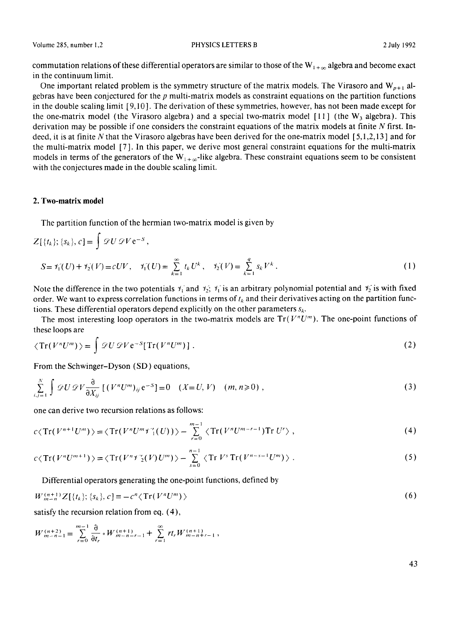commutation relations of these differential operators are similar to those of the  $W_{1+\infty}$  algebra and become exact in the continuum limit.

One important related problem is the symmetry structure of the matrix models. The Virasoro and  $W_{p+1}$  algebras have been conjectured for the  $p$  multi-matrix models as constraint equations on the partition functions in the double scaling limit [9,10 ]. The derivation of these symmetries, however, has not been made except for the one-matrix model (the Virasoro algebra) and a special two-matrix model [11] (the  $W_3$  algebra). This derivation may be possible if one considers the constraint equations of the matrix models at finite N first. Indeed, it is at finite N that the Virasoro algebras have been derived for the one-matrix model [ 5,1,2,13 ] and for the multi-matrix model [7]. In this paper, we derive most general constraint equations for the multi-matrix models in terms of the generators of the  $W_{1+\infty}$ -like algebra. These constraint equations seem to be consistent with the conjectures made in the double scaling limit.

### **2. Two-matrix model**

The partition function of the hermian two-matrix model is given by

$$
Z[{tk}; {sk}, c] = \int \mathcal{Q}U \mathcal{Q}V e^{-S},
$$
  
\n
$$
S = \mathcal{V}_1(U) + \mathcal{V}_2(V) = cUV, \quad \mathcal{V}_1(U) = \sum_{k=1}^{\infty} t_k U^k, \quad \mathcal{V}_2(V) = \sum_{k=1}^{q} s_k V^k.
$$
 (1)

Note the difference in the two potentials  $\gamma_1$  and  $\gamma_2$ ;  $\gamma_1$  is an arbitrary polynomial potential and  $\gamma_2$  is with fixed order. We want to express correlation functions in terms of  $t_k$  and their derivatives acting on the partition functions. These differential operators depend explicitly on the other parameters  $s_k$ .

The most interesting loop operators in the two-matrix models are  $Tr(V<sup>n</sup>U<sup>m</sup>)$ . The one-point functions of these loops are

$$
\langle \operatorname{Tr}(V^n U^m) \rangle = \int \mathscr{D} U \mathscr{D} V e^{-S} [\operatorname{Tr}(V^n U^m)] . \tag{2}
$$

From the Schwinger-Dyson (SD) equations,

$$
\sum_{i,j=1}^{N} \int \mathscr{D}U \mathscr{D}V \frac{\partial}{\partial X_{ij}} \left[ \left( V^{n}U^{m} \right)_{ij} e^{-S} \right] = 0 \quad (X = U, V) \quad (m, n \geq 0), \tag{3}
$$

one can derive two recursion relations as follows:

$$
c\langle Tr(V^{n+1}U^m)\rangle = \langle Tr(V^nU^mY_1'(U))\rangle - \sum_{r=0}^{m-1} \langle Tr(V^nU^{m-r-1})Tr U^r\rangle , \qquad (4)
$$

$$
c\langle \operatorname{Tr}(V^nU^{m+1})\rangle = \langle \operatorname{Tr}(V^nY_2^{\vee}(V)U^m)\rangle - \sum_{s=0}^{n-1} \langle \operatorname{Tr}V^s \operatorname{Tr}(V^{n-s-1}U^m)\rangle . \tag{5}
$$

Differential operators generating the one-point functions, defined by

$$
W_{m-n}^{(n+1)}Z[\{t_k\};\{s_k\},c] \equiv -c^n \langle \operatorname{Tr}(V^n U^m) \rangle \tag{6}
$$

satisfy the recursion relation from eq. (4),

$$
W_{m-n-1}^{(n+2)} = \sum_{r=0}^{m-1} \frac{\partial}{\partial t_r} \cdot W_{m-n-r-1}^{(n+1)} + \sum_{r=1}^{\infty} r t_r W_{m-n+r-1}^{(n+1)},
$$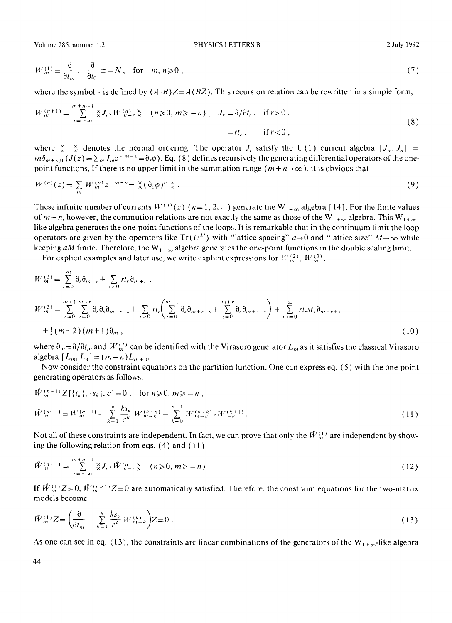$$
W_m^{(1)} = \frac{\partial}{\partial t_m}, \quad \frac{\partial}{\partial t_0} \equiv -N, \quad \text{for} \quad m, n \ge 0,
$$
\n<sup>(7)</sup>

where the symbol  $\cdot$  is defined by  $(A \cdot B)Z = A(BZ)$ . This recursion relation can be rewritten in a simple form,

$$
W_m^{(n+1)} = \sum_{r=-\infty}^{m+n-1} \underset{\times}{\times} J_r \circ W_{m-r}^{(n)} \underset{\times}{\times} \quad (n \ge 0, m \ge -n) \ , \quad J_r = \partial/\partial t_r, \quad \text{if } r > 0 \ ,
$$
  
=  $rt_r, \qquad \text{if } r < 0 \ ,$  (8)

where  $\frac{X}{X}$   $\frac{X}{X}$  denotes the normal ordering. The operator *J<sub>r</sub>* satisfy the U(1) current algebra  $[J_m, J_n]$  =  $m\delta_{m+n,0}$   $(J(z) = \sum_m J_m z^{-m+1} = \partial_z \phi$ ). Eq. (8) defines recursively the generating differential operators of the onepoint functions. If there is no upper limit in the summation range  $(m+n\rightarrow\infty)$ , it is obvious that

$$
W^{(n)}(z) = \sum_{m} W_m^{(n)} z^{-m+n} = \mathcal{K}(\partial_z \phi)^n \mathcal{K} \tag{9}
$$

These infinite number of currents  $W^{(n)}(z)$  (n=1, 2, ...) generate the  $W_{1+\infty}$  algebra [14]. For the finite values of  $m + n$ , however, the commution relations are not exactly the same as those of the  $W_{1+\infty}$  algebra. This  $W_{1+\infty}$ like algebra generates the one-point functions of the loops. It is remarkable that in the continuum limit the loop operators are given by the operators like  $Tr(U^M)$  with "lattice spacing"  $a \rightarrow 0$  and "lattice size"  $M \rightarrow \infty$  while keeping *aM* finite. Therefore, the  $W_{1+\infty}$  algebra generates the one-point functions in the double scaling limit.

For explicit examples and later use, we write explicit expressions for  $W_m^{(2)}$ ,  $W_m^{(3)}$ ,

$$
W_m^{(2)} = \sum_{r=0}^m \delta_r \delta_{m-r} + \sum_{r>0} r t_r \delta_{m+r},
$$
  
\n
$$
W_m^{(3)} = \sum_{r=0}^{m+1} \sum_{s=0}^{m-r} \delta_r \delta_s \delta_{m-r-s} + \sum_{r>0} r t_r \left( \sum_{s=0}^{m+1} \delta_s \delta_{m+r-s} + \sum_{s=0}^{m+r} \delta_s \delta_{m+r-s} \right) + \sum_{r,s=0}^{\infty} r t_r s t_s \delta_{m+r+s}
$$
  
\n
$$
+ \frac{1}{2} (m+2) (m+1) \delta_m,
$$
\n(10)

where  $\partial_{m} = \partial/\partial t_{m}$  and W<sub>m</sub><sup>2</sup> can be identified with the Virasoro generator L<sub>m</sub> as it satisfies the classical Virasoro algebra  $[L_m, L_n] = (m-n)L_{m+n}$ .

Now consider the constraint equations on the partition function. One can express eq. ( 5 ) with the one-point generating operators as follows:

$$
\hat{W}_{m}^{(n+1)}Z[\{t_{k}\};\{s_{k}\},c] = 0, \quad \text{for } n \geqslant 0, m \geqslant -n,
$$
\n
$$
\hat{W}_{m}^{(n+1)} = W_{m}^{(n+1)} - \sum_{k=1}^{q} \frac{k s_{k}}{c^{k}} W_{m-k}^{(k+n)} - \sum_{k=0}^{n-1} W_{m+k}^{(n-k)} \circ W_{-k}^{(k+1)}.
$$
\n(11)

Not all of these constraints are independent. In fact, we can prove that only the  $\hat{W}_{\mu}^{(1)}$  are independent by showing the following relation from eqs. (4) and ( 11 )

$$
\hat{W}_m^{(n+1)} = \sum_{r=-\infty}^{m+n-1} \underset{\times}{\times} J_r \circ \hat{W}_{m-r}^{(n)} \times (n \ge 0, m \ge -n) . \tag{12}
$$

If  $\hat{W}_{m}^{(1)}Z=0$ ,  $\hat{W}_{m}^{(n>1)}Z=0$  are automatically satisfied. Therefore, the constraint equations for the two-matrix models become

$$
\hat{W}_{m}^{(1)}Z = \left(\frac{\partial}{\partial t_{m}} - \sum_{k=1}^{g} \frac{k s_{k}}{c^{k}} W_{m-k}^{(k)}\right) Z = 0.
$$
\n(13)

As one can see in eq. (13), the constraints are linear combinations of the generators of the  $W_{1+x}$ -like algebra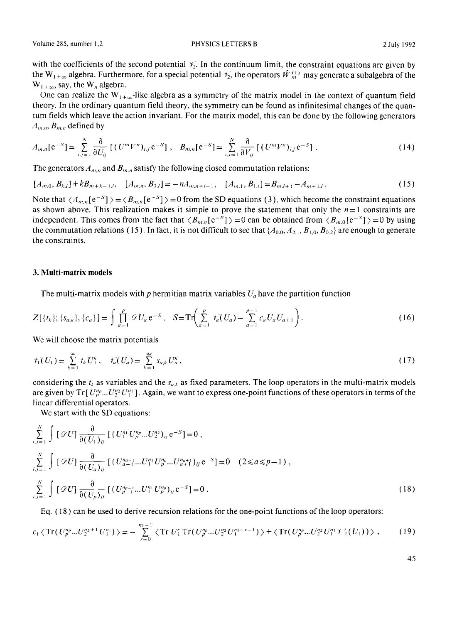with the coefficients of the second potential  $f_2$ . In the continuum limit, the constraint equations are given by the W<sub>1+∞</sub> algebra. Furthermore, for a special potential  $\mathcal{V}_2$ , the operators  $\hat{W}_m^{(1)}$  may generate a subalgebra of the  $W_{1+\infty}$ , say, the  $W_n$  algebra.

One can realize the  $W_{1+\infty}$ -like algebra as a symmetry of the matrix model in the context of quantum field theory. In the ordinary quantum field theory, the symmetry can be found as infinitesimal changes of the quantum fields which leave the action invariant. For the matrix model, this can be done by the following generators  $A_{m,n}$ ,  $B_{m,n}$  defined by

$$
A_{m,n}[e^{-S}] = \sum_{i,j=1}^{N} \frac{\partial}{\partial U_{ij}} [(U^{m}V^{n})_{i,j}e^{-S}], \quad B_{m,n}[e^{-S}] = \sum_{i,j=1}^{N} \frac{\partial}{\partial V_{ij}} [(U^{m}V^{n})_{i,j}e^{-S}]. \tag{14}
$$

The generators  $A_{m,n}$  and  $B_{m,n}$  satisfy the following closed commutation relations:

$$
[A_{m,0}, B_{k,l}] + kB_{m+k-1,l}, \quad [A_{m,n}, B_{0,l}] = -nA_{m,n+l-1}, \quad [A_{m,1}, B_{1,l}] = B_{m,l+1} - A_{m+1,l}.
$$
 (15)

Note that  $\langle A_{m,n}[e^{-S}] \rangle = \langle B_{m,n}[e^{-S}] \rangle = 0$  from the SD equations (3), which become the constraint equations as shown above. This realization makes it simple to prove the statement that only the  $n=1$  constraints are independent. This comes from the fact that  $\langle B_{m,n}[e^{-S}]\rangle = 0$  can be obtained from  $\langle B_{m,0}[e^{-S}]\rangle = 0$  by using the commutation relations (15). In fact, it is not difficult to see that  $\{A_{0,0}, A_{2,1}, B_{1,0}, B_{0,2}\}$  are enough to generate the constraints.

### **3. Multi-matrix** models

The multi-matrix models with p hermitian matrix variables  $U_a$  have the partition function

$$
Z[\{t_k\}; \{s_{a,k}\}, \{c_a\}] = \int \prod_{a=1}^p \mathcal{D} U_a e^{-S}, \quad S = \text{Tr}\left(\sum_{a=1}^p \mathcal{V}_a(U_a) - \sum_{a=1}^{p-1} c_a U_a U_{a+1}\right). \tag{16}
$$

We will choose the matrix potentials

$$
\mathcal{V}_1(U_1) = \sum_{k=1}^{\infty} t_k U_1^k, \quad \mathcal{V}_a(U_a) = \sum_{k=1}^{q_a} s_{a,k} U_a^k,
$$
\n(17)

considering the  $t_k$  as variables and the  $s_{a,k}$  as fixed parameters. The loop operators in the multi-matrix models are given by  $Tr[U_{p}^{n}...U_{2}^{n}U_{1}^{n}]$ . Again, we want to express one-point functions of these operators in terms of the linear differential operators.

We start with the SD equations:

$$
\sum_{i,j=1}^{N} \int [\mathcal{D}U] \frac{\partial}{\partial (U_1)_{ij}} \left[ (U_1^{n_1} U_p^{n_p} ... U_2^{n_2})_{ij} e^{-S} \right] = 0 ,
$$
\n
$$
\sum_{i,j=1}^{N} \int [\mathcal{D}U] \frac{\partial}{\partial (U_a)_{ij}} \left[ (U_{a-1}^{n_{a-1}} ... U_1^{n_1} U_p^{n_p} ... U_{a+1}^{n_{a+1}})_{ij} e^{-S} \right] = 0 \quad (2 \le a \le p-1) ,
$$
\n
$$
\sum_{i,j=1}^{N} \int [\mathcal{D}U] \frac{\partial}{\partial (U_p)_{ij}} \left[ (U_{p-1}^{n_{p-1}} ... U_1^{n_1} U_p^{n_p})_{ij} e^{-S} \right] = 0 .
$$
\n(18)

Eq. (18) can be used to derive recursion relations for the one-point functions of the loop operators:

$$
c_1 \langle \operatorname{Tr}(U_p^{n_p}...U_2^{n_2+1}U_1^{n_1}) \rangle = -\sum_{r=0}^{n_1-1} \langle \operatorname{Tr} U_1^r \operatorname{Tr}(U_p^{n_p}...U_2^{n_2}U_1^{n_1-r-1}) \rangle + \langle \operatorname{Tr}(U_p^{n_p}...U_2^{n_2}U_1^{n_1}Y_1^r(U_1)) \rangle , \qquad (19)
$$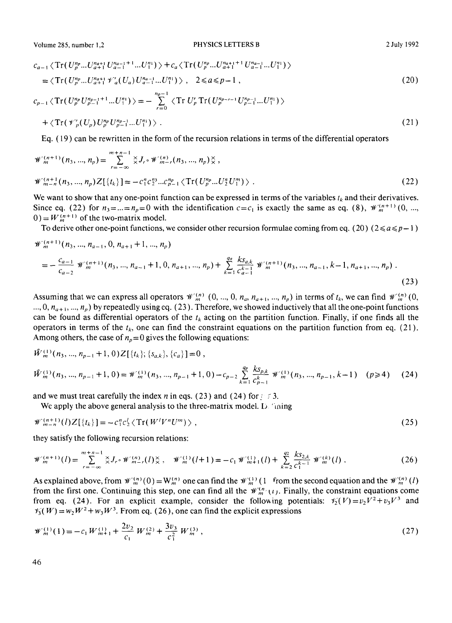$$
c_{a-1} \langle \text{Tr}(U_{p}^{n_{p}}...U_{a+1}^{n_{a+1}}U_{a-1}^{n_{a-1}+1}...U_{1}^{n_{1}}) \rangle + c_{a} \langle \text{Tr}(U_{p}^{n_{p}}...U_{a+1}^{n_{a+1}+1}U_{a-1}^{n_{a-1}}...U_{1}^{n_{1}}) \rangle
$$
  
\n
$$
= \langle \text{Tr}(U_{p}^{n_{p}}...U_{a+1}^{n_{a+1}}\mathscr{V}'_{a}(U_{a})U_{a-1}^{n_{a-1}}...U_{1}^{n_{1}}) \rangle, \quad 2 \le a \le p-1,
$$
  
\n
$$
c_{p-1} \langle \text{Tr}(U_{p}^{n_{p}}U_{p-1}^{n_{p-1}+1}...U_{1}^{n_{1}}) \rangle = -\sum_{r=0}^{n_{p-1}} \langle \text{Tr}(U_{p}^{r}\text{Tr}(U_{p}^{n_{p-r-1}}U_{p-1}^{n_{p-1}}...U_{1}^{n_{1}}) \rangle
$$
  
\n
$$
+ \langle \text{Tr}(\mathscr{V}'_{p}(U_{p})U_{p}^{n_{p}}U_{p-1}^{n_{p-1}}...U_{1}^{n_{1}}) \rangle.
$$
  
\n(21)

Eq. (19) can be rewritten in the form of the recursion relations in terms of the differential operators

$$
\mathcal{W}_{m}^{(n+1)}(n_{3},...,n_{p}) = \sum_{r=-\infty}^{m+n-1} \sum_{i=0}^{n} \sum_{i=0}^{n} \langle J_{r} \circ \mathcal{W}_{m-r}^{(n)}(n_{3},...,n_{p}) \rangle \langle J_{r} \rangle, \n\mathcal{W}_{m-n}^{(n+1)}(n_{3},...,n_{p}) Z[\{t_{k}\}] = -c_{1}^{n} c_{2}^{n_{3}}...c_{p-1}^{n_{p}} \langle \text{Tr}(U_{p}^{n_{p}}...U_{2}^{n}U_{1}^{m}) \rangle.
$$
\n(22)

We want to show that any one-point function can be expressed in terms of the variables  $t_k$  and their derivatives. Since eq. (22) for  $n_3 = ... = n_p = 0$  with the identification  $c = c_1$  is exactly the same as eq. (8),  $\mathcal{W}_m^{(n+1)}(0, ...$  $0 = W_m^{(n+1)}$  of the two-matrix model.

To derive other one-point functions, we consider other recursion formulae coming from eq. (20) ( $2 \le a \le p-1$ )

$$
\mathcal{W}_{m}^{(n+1)}(n_{3},...,n_{a-1},0,n_{a+1}+1,...,n_{p})
$$
\n
$$
= -\frac{c_{a-1}}{c_{a-2}} \mathcal{W}_{m}^{(n+1)}(n_{3},...,n_{a-1}+1,0,n_{a+1},...,n_{p}) + \sum_{k=1}^{q_{a}} \frac{k s_{a,k}}{c_{a-1}^{k-1}} \mathcal{W}_{m}^{(n+1)}(n_{3},...,n_{a-1},k-1,n_{a+1},...,n_{p}).
$$
\n(23)

Assuming that we can express all operators  $\mathcal{W}_m^{(n)}$  (0, ..., 0,  $n_a$ ,  $n_{a+1}$ , ...,  $n_p$ ) in terms of  $t_k$ , we can find  $\mathcal{W}_m^{(n)}$  (0, ..., 0,  $n_{a+1}$ , ...,  $n_p$ ) by repeatedly using eq. (23). Therefore, we showed inductively that all the one-point functions can be found as differential operators of the  $t_k$  acting on the partition function. Finally, if one finds all the operators in terms of the  $t_k$ , one can find the constraint equations on the partition function from eq. (21). Among others, the case of  $n_p=0$  gives the following equations:

$$
\hat{W}_{m}^{(1)}(n_{3},...,n_{p-1}+1,0)\mathbb{Z}[\{t_{k}\};\{s_{a,k}\},\{c_{a}\}]=0,
$$
\n
$$
\hat{W}_{m}^{(1)}(n_{3},...,n_{p-1}+1,0)=\mathcal{W}_{m}^{(1)}(n_{3},...,n_{p-1}+1,0)-c_{p-2}\sum_{k=1}^{q_{p}}\frac{k s_{p,k}}{c_{p-1}^{k}}\mathcal{W}_{m}^{(1)}(n_{3},...,n_{p-1},k-1) \quad (p \geq 4) \tag{24}
$$

and we must treat carefully the index *n* in eqs. (23) and (24) for  $\leq 3$ .

We apply the above general analysis to the three-matrix model.  $D$  "thing

$$
\mathscr{W}_{m-n}^{(n+1)}(l)Z[\{t_k\}] = -c_1^n c_2^l \langle \operatorname{Tr}(W^l V^n U^m) \rangle \;, \tag{25}
$$

they satisfy the following recursion relations:

$$
\mathcal{W}_m^{(n+1)}(l) = \sum_{r=-\infty}^{m+n-1} \mathcal{X}_{r} \circ \mathcal{W}_{m-r}^{(n)}(l) \mathcal{X}, \quad \mathcal{W}_m^{(1)}(l+1) = -c_1 \mathcal{W}_{m+1}^{(1)}(l) + \sum_{k=2}^{q_2} \frac{k s_{2,k}}{c_1^{k-1}} \mathcal{W}_m^{(k)}(l) \tag{26}
$$

As explained above, from  $\mathcal{W}_{m}^{(n)}(0) = W_{m}^{(n)}$  one can find the  $\mathcal{W}_{m}^{(1)}(1$  from the second equation and the  $\mathcal{W}_{m}^{(n)}(l)$ from the first one. Continuing this step, one can find all the  $\mathcal{W}_{m}^{(n)}(t)$ . Finally, the constraint equations come from eq. (24). For an explicit example, consider the following potentials:  $\mathcal{H}_2(V)=v_2V^2+v_3V^3$  and  $\mathcal{V}_3(W) = w_2 W^2 + w_3 W^3$ . From eq. (26), one can find the explicit expressions

$$
\mathcal{W}_m^{(1)}(1) = -c_1 W_{m+1}^{(1)} + \frac{2v_2}{c_1} W_m^{(2)} + \frac{3v_3}{c_1^2} W_m^{(3)},\tag{27}
$$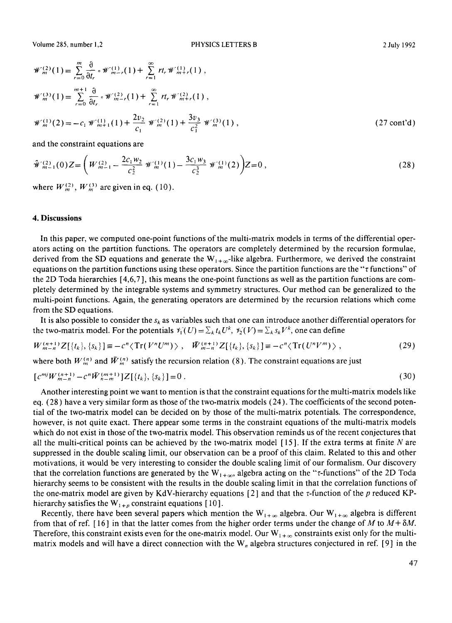$$
\mathcal{W}_{m}^{(2)}(1) = \sum_{r=0}^{m} \frac{\partial}{\partial t_{r}} \cdot \mathcal{W}_{m-r}^{(1)}(1) + \sum_{r=1}^{\infty} rt_{r} \mathcal{W}_{m+r}^{(1)}(1),
$$
  
\n
$$
\mathcal{W}_{m}^{(3)}(1) = \sum_{r=0}^{m+1} \frac{\partial}{\partial t_{r}} \cdot \mathcal{W}_{m-r}^{(2)}(1) + \sum_{r=1}^{\infty} rt_{r} \mathcal{W}_{m+r}^{(2)}(1),
$$
  
\n
$$
\mathcal{W}_{m}^{(1)}(2) = -c_{1} \mathcal{W}_{m+1}^{(1)}(1) + \frac{2v_{2}}{c_{1}} \mathcal{W}_{m}^{(2)}(1) + \frac{3v_{3}}{c_{1}^{2}} \mathcal{W}_{m}^{(3)}(1),
$$
\n(27 cont'd)

and the constraint equations are

$$
\hat{\mathcal{W}}_{m-1}^{(2)}(0)Z = \left(W_{m-1}^{(2)} - \frac{2c_1 w_2}{c_2^2} \mathcal{W}_m^{(1)}(1) - \frac{3c_1 w_3}{c_2^3} \mathcal{W}_m^{(1)}(2)\right)Z = 0,
$$
\n(28)

where  $W_m^{(2)}$ ,  $W_m^{(3)}$  are given in eq. (10).

### **4. Discussions**

In this paper, we computed one-point functions of the multi-matrix models in terms of the differential operators acting on the partition functions. The operators are completely determined by the recursion formulae, derived from the SD equations and generate the  $W_{1+\infty}$ -like algebra. Furthermore, we derived the constraint equations on the partition functions using these operators. Since the partition functions are the " $\tau$  functions" of the 2D Toda hierarchies [4,6,7 ], this means the one-point functions as well as the partition functions are completely determined by the integrable systems and symmetry structures. Our method can be generalized to the multi-point functions. Again, the generating operators are determined by the recursion relations which come from the SD equations.

It is also possible to consider the *Sk* as variables such that one can introduce another differential operators for the two-matrix model. For the potentials  $\mathcal{V}_1^*(U) = \sum_k t_k U^k$ ,  $\mathcal{V}_2^*(V) = \sum_k s_k V^k$ , one can define

$$
W_{m-n}^{(n+1)}Z[\{t_k\},\{s_k\}] \equiv -c^n \langle \text{Tr}(V^n U^m) \rangle \ , \quad \bar{W}_{m-n}^{(n+1)}Z[\{t_k\},\{s_k\}] \equiv -c^n \langle \text{Tr}(U^n V^m) \rangle \ , \tag{29}
$$

where both  $W_{m}^{(n)}$  and  $\bar{W}_{m}^{(n)}$  satisfy the recursion relation (8). The constraint equations are just

$$
[c^{mj}W^{(n+1)}_{m-n} - c^n \bar{W}^{(m+1)}_{n-m}]Z[\{t_k\},\{s_k\}] = 0.
$$
\n(30)

Another interesting point we want to mention is that the constraint equations for the multi-matrix models like eq. (28) have a very similar form as those of the two-matrix models (24). The coefficients of the second potential of the two-matrix model can be decided on by those of the multi-matrix potentials. The correspondence, however, is not quite exact. There appear some terms in the constraint equations of the multi-matrix models which do not exist in those of the two-matrix model. This observation reminds us of the recent conjectures that all the multi-critical points can be achieved by the two-matrix model  $[15]$ . If the extra terms at finite N are suppressed in the double scaling limit, our observation can be a proof of this claim. Related to this and other motivations, it would be very interesting to consider the double scaling limit of our formalism. Our discovery that the correlation functions are generated by the  $W_{1+\infty}$ , algebra acting on the "*t*-functions" of the 2D Toda hierarchy seems to be consistent with the results in the double scaling limit in that the correlation functions of the one-matrix model are given by KdV-hierarchy equations [2] and that the  $\tau$ -function of the p reduced KPhierarchy satisfies the  $W_{1+p}$  constraint equations [10].

Recently, there have been several papers which mention the  $W_{1+\infty}$  algebra. Our  $W_{1+\infty}$  algebra is different from that of ref. [16] in that the latter comes from the higher order terms under the change of M to  $M + \delta M$ . Therefore, this constraint exists even for the one-matrix model. Our  $W_{1+\infty}$  constraints exist only for the multimatrix models and will have a direct connection with the  $W_n$  algebra structures conjectured in ref. [9] in the